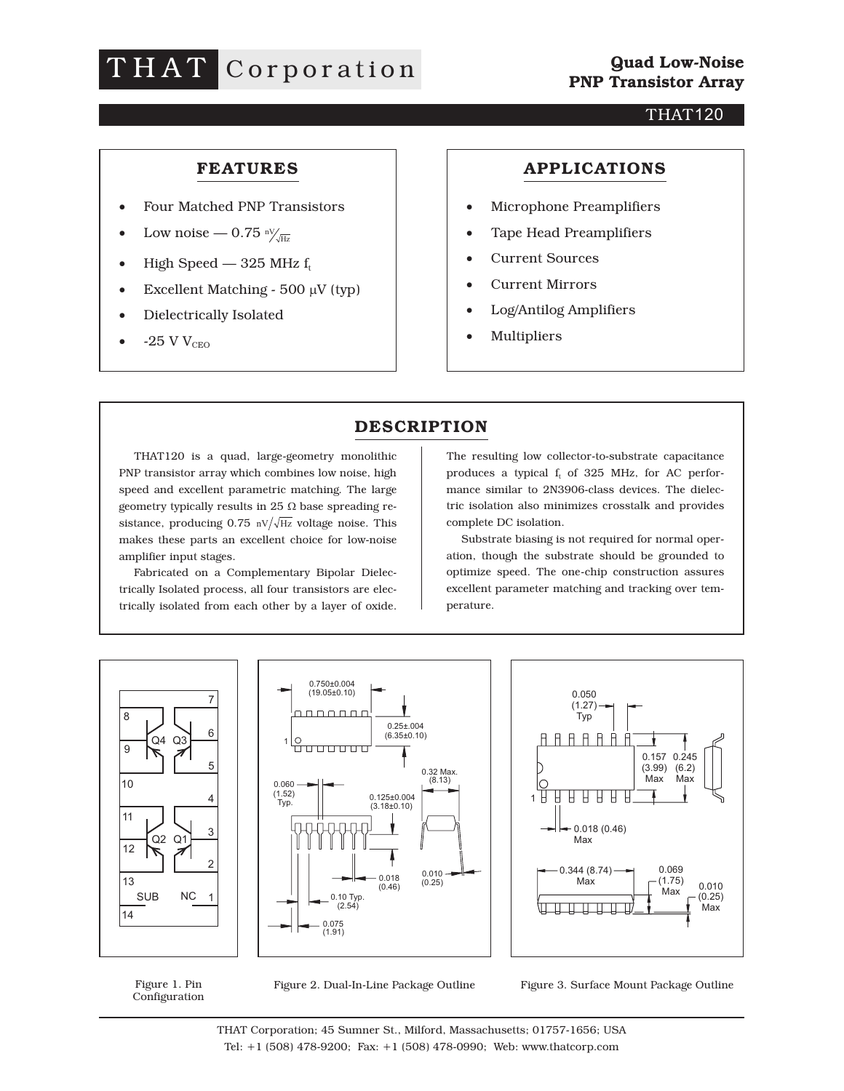# THAT Corporation

#### THAT120

### **FEATURES**

- Four Matched PNP Transistors
- Low noise 0.75  $\frac{nV}{\sqrt{Hz}}$
- High Speed 325 MHz  $f_t$
- Excellent Matching  $500 \mu V$  (typ)
- Dielectrically Isolated
- $\bullet$  -25 V V<sub>CEO</sub>

#### **APPLICATIONS**

- Microphone Preamplifiers
- Tape Head Preamplifiers
- Current Sources
- Current Mirrors
- Log/Antilog Amplifiers
- Multipliers

## **DESCRIPTION**

THAT120 is a quad, large-geometry monolithic PNP transistor array which combines low noise, high speed and excellent parametric matching. The large geometry typically results in 25  $\Omega$  base spreading resistance, producing 0.75  $\text{nV}/\sqrt{\text{Hz}}$  voltage noise. This makes these parts an excellent choice for low-noise amplifier input stages.

Fabricated on a Complementary Bipolar Dielectrically Isolated process, all four transistors are electrically isolated from each other by a layer of oxide.

The resulting low collector-to-substrate capacitance produces a typical  $f_t$  of 325 MHz, for AC performance similar to 2N3906-class devices. The dielectric isolation also minimizes crosstalk and provides complete DC isolation.

Substrate biasing is not required for normal operation, though the substrate should be grounded to optimize speed. The one-chip construction assures excellent parameter matching and tracking over temperature.



Figure 1. Pin Configuration